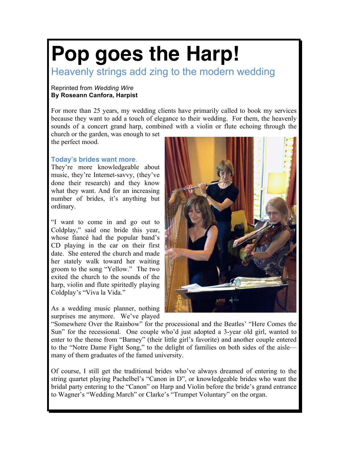## **Pop goes the Harp!**

Heavenly strings add zing to the modern wedding

## Reprinted from *Wedding Wire* **By Roseann Canfora, Harpist**

For more than 25 years, my wedding clients have primarily called to book my services because they want to add a touch of elegance to their wedding. For them, the heavenly sounds of a concert grand harp, combined with a violin or flute echoing through the

church or the garden, was enough to set the perfect mood.

## **Today's brides want more**.

They're more knowledgeable about music, they're Internet-savvy, (they've done their research) and they know what they want. And for an increasing number of brides, it's anything but ordinary.

"I want to come in and go out to Coldplay," said one bride this year, whose fiancé had the popular band's CD playing in the car on their first date. She entered the church and made her stately walk toward her waiting groom to the song "Yellow." The two exited the church to the sounds of the harp, violin and flute spiritedly playing Coldplay's "Viva la Vida."

As a wedding music planner, nothing surprises me anymore. We've played



"Somewhere Over the Rainbow" for the processional and the Beatles' "Here Comes the Sun" for the recessional. One couple who'd just adopted a 3-year old girl, wanted to enter to the theme from "Barney" (their little girl's favorite) and another couple entered to the "Notre Dame Fight Song," to the delight of families on both sides of the aisle many of them graduates of the famed university.

Of course, I still get the traditional brides who've always dreamed of entering to the string quartet playing Pachelbel's "Canon in D", or knowledgeable brides who want the bridal party entering to the "Canon" on Harp and Violin before the bride's grand entrance to Wagner's "Wedding March" or Clarke's "Trumpet Voluntary" on the organ.